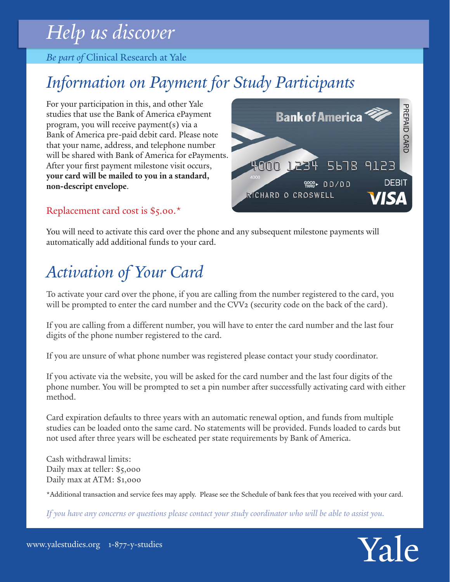# *Help us discover*

*Be part of* Clinical Research at Yale

# *Information on Payment for Study Participants*

For your participation in this, and other Yale studies that use the Bank of America ePayment program, you will receive payment(s) via a Bank of America pre-paid debit card. Please note that your name, address, and telephone number will be shared with Bank of America for ePayments. After your first payment milestone visit occurs, **your card will be mailed to you in a standard, non-descript envelope**.

## Replacement card cost is \$5.00.\*

You will need to activate this card over the phone and any subsequent milestone payments will automatically add additional funds to your card.

# *Activation of Your Card*

To activate your card over the phone, if you are calling from the number registered to the card, you will be prompted to enter the card number and the CVV2 (security code on the back of the card).

If you are calling from a different number, you will have to enter the card number and the last four digits of the phone number registered to the card.

If you are unsure of what phone number was registered please contact your study coordinator.

If you activate via the website, you will be asked for the card number and the last four digits of the phone number. You will be prompted to set a pin number after successfully activating card with either method.

Card expiration defaults to three years with an automatic renewal option, and funds from multiple studies can be loaded onto the same card. No statements will be provided. Funds loaded to cards but not used after three years will be escheated per state requirements by Bank of America.

Cash withdrawal limits: Daily max at teller: \$5,000 Daily max at ATM: \$1,000

\*Additional transaction and service fees may apply. Please see the Schedule of bank fees that you received with your card.

*If you have any concerns or questions please contact your study coordinator who will be able to assist you.*